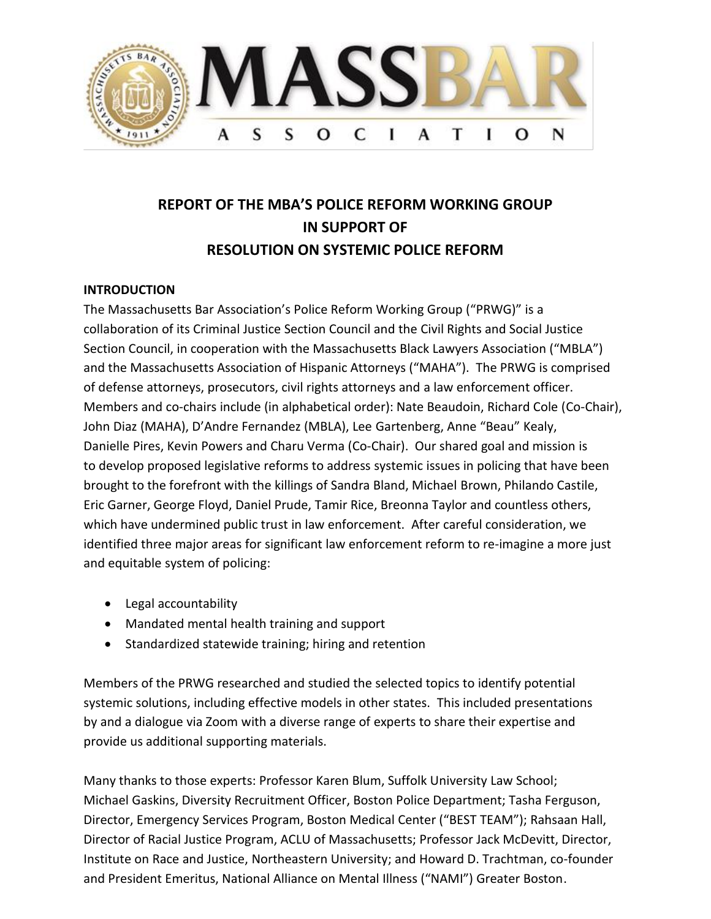

# **REPORT OF THE MBA'S POLICE REFORM WORKING GROUP IN SUPPORT OF RESOLUTION ON SYSTEMIC POLICE REFORM**

#### **INTRODUCTION**

The Massachusetts Bar Association's Police Reform Working Group ("PRWG)" is a collaboration of its Criminal Justice Section Council and the Civil Rights and Social Justice Section Council, in cooperation with the Massachusetts Black Lawyers Association ("MBLA") and the Massachusetts Association of Hispanic Attorneys ("MAHA"). The PRWG is comprised of defense attorneys, prosecutors, civil rights attorneys and a law enforcement officer. Members and co-chairs include (in alphabetical order): Nate Beaudoin, Richard Cole (Co-Chair), John Diaz (MAHA), D'Andre Fernandez (MBLA), Lee Gartenberg, Anne "Beau" Kealy, Danielle Pires, Kevin Powers and Charu Verma (Co-Chair). Our shared goal and mission is to develop proposed legislative reforms to address systemic issues in policing that have been brought to the forefront with the killings of Sandra Bland, Michael Brown, Philando Castile, Eric Garner, George Floyd, Daniel Prude, Tamir Rice, Breonna Taylor and countless others, which have undermined public trust in law enforcement. After careful consideration, we identified three major areas for significant law enforcement reform to re-imagine a more just and equitable system of policing:

- Legal accountability
- Mandated mental health training and support
- Standardized statewide training; hiring and retention

Members of the PRWG researched and studied the selected topics to identify potential systemic solutions, including effective models in other states. This included presentations by and a dialogue via Zoom with a diverse range of experts to share their expertise and provide us additional supporting materials.

Many thanks to those experts: Professor Karen Blum, Suffolk University Law School; Michael Gaskins, Diversity Recruitment Officer, Boston Police Department; Tasha Ferguson, Director, Emergency Services Program, Boston Medical Center ("BEST TEAM"); Rahsaan Hall, Director of Racial Justice Program, ACLU of Massachusetts; Professor Jack McDevitt, Director, Institute on Race and Justice, Northeastern University; and Howard D. Trachtman, co-founder and President Emeritus, National Alliance on Mental Illness ("NAMI") Greater Boston.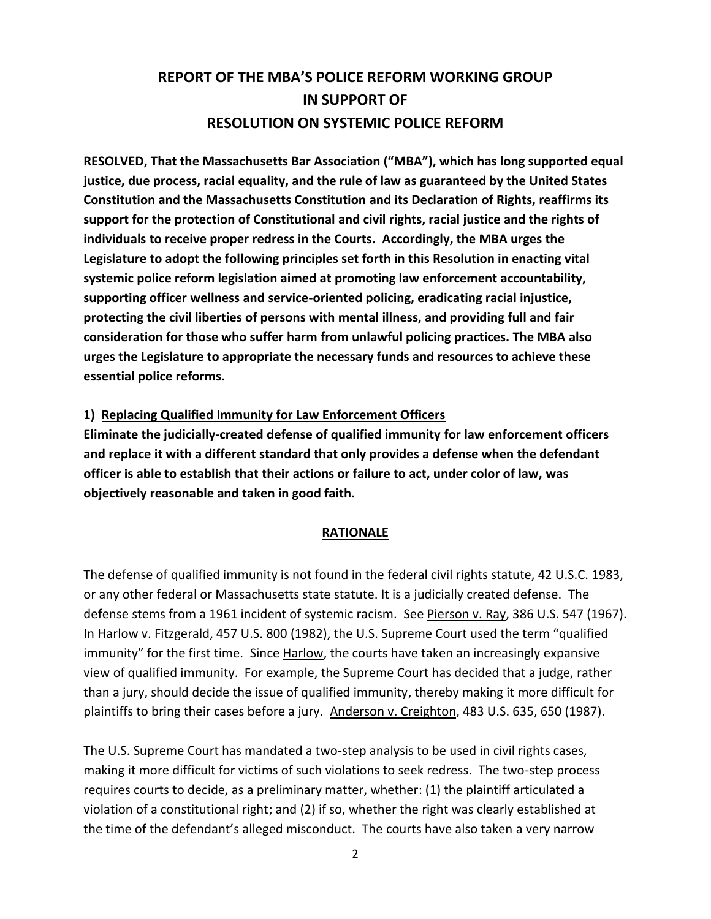# **REPORT OF THE MBA'S POLICE REFORM WORKING GROUP IN SUPPORT OF RESOLUTION ON SYSTEMIC POLICE REFORM**

**RESOLVED, That the Massachusetts Bar Association ("MBA"), which has long supported equal justice, due process, racial equality, and the rule of law as guaranteed by the United States Constitution and the Massachusetts Constitution and its Declaration of Rights, reaffirms its support for the protection of Constitutional and civil rights, racial justice and the rights of individuals to receive proper redress in the Courts. Accordingly, the MBA urges the Legislature to adopt the following principles set forth in this Resolution in enacting vital systemic police reform legislation aimed at promoting law enforcement accountability, supporting officer wellness and service-oriented policing, eradicating racial injustice, protecting the civil liberties of persons with mental illness, and providing full and fair consideration for those who suffer harm from unlawful policing practices. The MBA also urges the Legislature to appropriate the necessary funds and resources to achieve these essential police reforms.**

#### **1) Replacing Qualified Immunity for Law Enforcement Officers**

**Eliminate the judicially-created defense of qualified immunity for law enforcement officers and replace it with a different standard that only provides a defense when the defendant officer is able to establish that their actions or failure to act, under color of law, was objectively reasonable and taken in good faith.**

#### **RATIONALE**

The defense of qualified immunity is not found in the federal civil rights statute, 42 U.S.C. 1983, or any other federal or Massachusetts state statute. It is a judicially created defense. The defense stems from a 1961 incident of systemic racism. See Pierson v. Ray, 386 U.S. 547 (1967). In Harlow v. Fitzgerald, 457 U.S. 800 (1982), the U.S. Supreme Court used the term "qualified immunity" for the first time. Since Harlow, the courts have taken an increasingly expansive view of qualified immunity. For example, the Supreme Court has decided that a judge, rather than a jury, should decide the issue of qualified immunity, thereby making it more difficult for plaintiffs to bring their cases before a jury. Anderson v. Creighton, 483 U.S. 635, 650 (1987).

The U.S. Supreme Court has mandated a two-step analysis to be used in civil rights cases, making it more difficult for victims of such violations to seek redress. The two-step process requires courts to decide, as a preliminary matter, whether: (1) the plaintiff articulated a violation of a constitutional right; and (2) if so, whether the right was clearly established at the time of the defendant's alleged misconduct. The courts have also taken a very narrow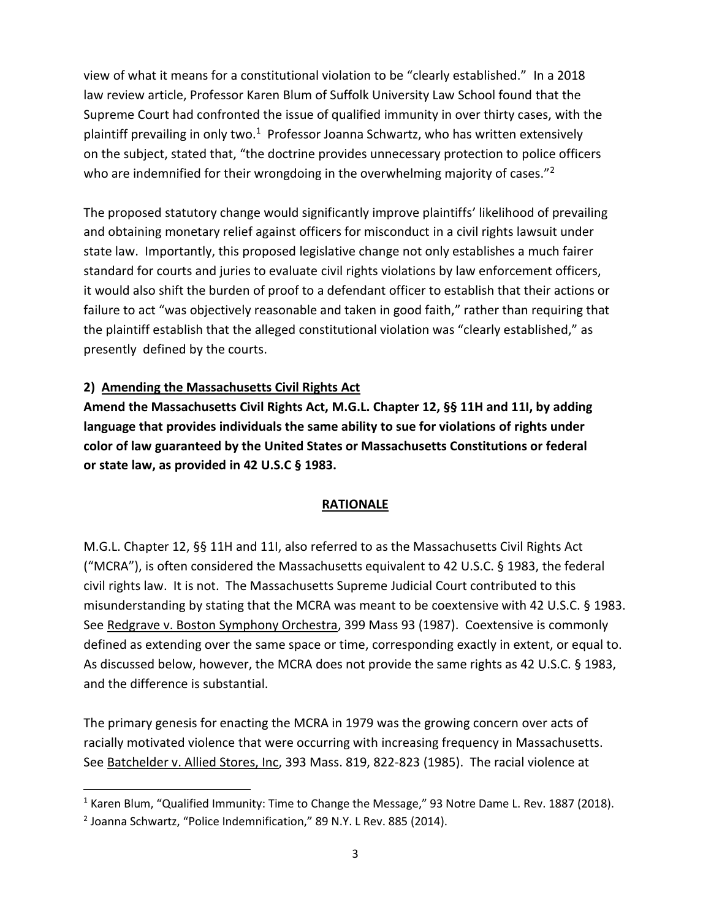view of what it means for a constitutional violation to be "clearly established." In a 2018 law review article, Professor Karen Blum of Suffolk University Law School found that the Supreme Court had confronted the issue of qualified immunity in over thirty cases, with the plaintiff prevailing in only two.<sup>1</sup> Professor Joanna Schwartz, who has written extensively on the subject, stated that, "the doctrine provides unnecessary protection to police officers who are indemnified for their wrongdoing in the overwhelming majority of cases."<sup>2</sup>

The proposed statutory change would significantly improve plaintiffs' likelihood of prevailing and obtaining monetary relief against officers for misconduct in a civil rights lawsuit under state law. Importantly, this proposed legislative change not only establishes a much fairer standard for courts and juries to evaluate civil rights violations by law enforcement officers, it would also shift the burden of proof to a defendant officer to establish that their actions or failure to act "was objectively reasonable and taken in good faith," rather than requiring that the plaintiff establish that the alleged constitutional violation was "clearly established," as presently defined by the courts.

## **2) Amending the Massachusetts Civil Rights Act**

**Amend the Massachusetts Civil Rights Act, M.G.L. Chapter 12, §§ 11H and 11I, by adding language that provides individuals the same ability to sue for violations of rights under color of law guaranteed by the United States or Massachusetts Constitutions or federal or state law, as provided in 42 U.S.C § 1983.** 

## **RATIONALE**

M.G.L. Chapter 12, §§ 11H and 11I, also referred to as the Massachusetts Civil Rights Act ("MCRA"), is often considered the Massachusetts equivalent to 42 U.S.C. § 1983, the federal civil rights law. It is not. The Massachusetts Supreme Judicial Court contributed to this misunderstanding by stating that the MCRA was meant to be coextensive with 42 U.S.C. § 1983. See Redgrave v. Boston Symphony Orchestra, 399 Mass 93 (1987). Coextensive is commonly defined as extending over the same space or time, corresponding exactly in extent, or equal to. As discussed below, however, the MCRA does not provide the same rights as 42 U.S.C. § 1983, and the difference is substantial.

The primary genesis for enacting the MCRA in 1979 was the growing concern over acts of racially motivated violence that were occurring with increasing frequency in Massachusetts. See Batchelder v. Allied Stores, Inc, 393 Mass. 819, 822-823 (1985). The racial violence at

<sup>&</sup>lt;sup>1</sup> Karen Blum, "Qualified Immunity: Time to Change the Message," 93 Notre Dame L. Rev. 1887 (2018).

 $2$  Joanna Schwartz, "Police Indemnification," 89 N.Y. L Rev. 885 (2014).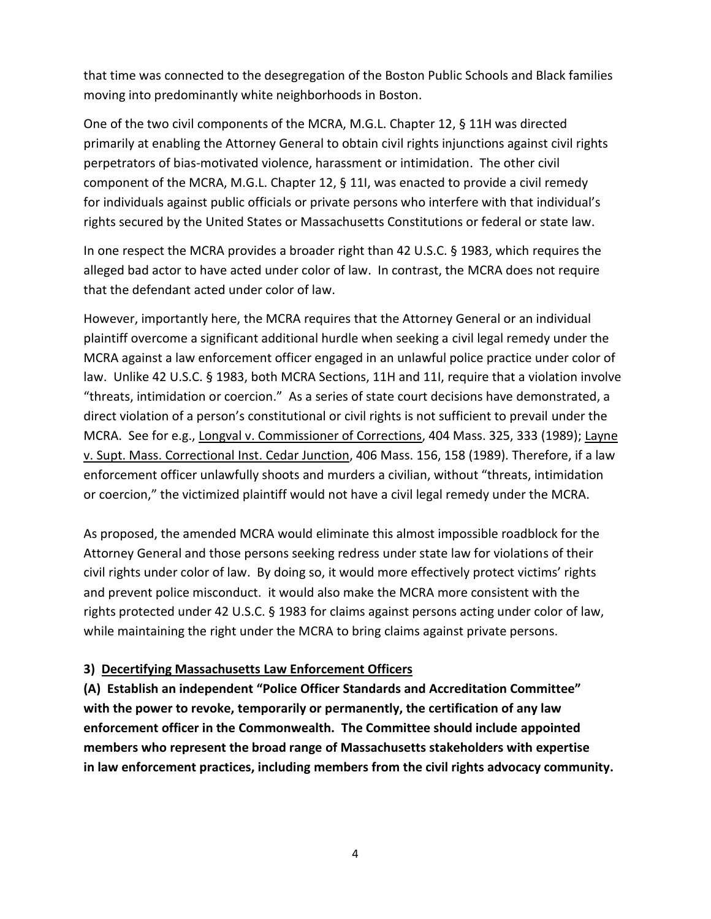that time was connected to the desegregation of the Boston Public Schools and Black families moving into predominantly white neighborhoods in Boston.

One of the two civil components of the MCRA, M.G.L. Chapter 12, § 11H was directed primarily at enabling the Attorney General to obtain civil rights injunctions against civil rights perpetrators of bias-motivated violence, harassment or intimidation. The other civil component of the MCRA, M.G.L. Chapter 12, § 11I, was enacted to provide a civil remedy for individuals against public officials or private persons who interfere with that individual's rights secured by the United States or Massachusetts Constitutions or federal or state law.

In one respect the MCRA provides a broader right than 42 U.S.C. § 1983, which requires the alleged bad actor to have acted under color of law. In contrast, the MCRA does not require that the defendant acted under color of law.

However, importantly here, the MCRA requires that the Attorney General or an individual plaintiff overcome a significant additional hurdle when seeking a civil legal remedy under the MCRA against a law enforcement officer engaged in an unlawful police practice under color of law. Unlike 42 U.S.C. § 1983, both MCRA Sections, 11H and 11I, require that a violation involve "threats, intimidation or coercion." As a series of state court decisions have demonstrated, a direct violation of a person's constitutional or civil rights is not sufficient to prevail under the MCRA. See for e.g., Longval v. Commissioner of Corrections, 404 Mass. 325, 333 (1989); Layne v. Supt. Mass. Correctional Inst. Cedar Junction, 406 Mass. 156, 158 (1989). Therefore, if a law enforcement officer unlawfully shoots and murders a civilian, without "threats, intimidation or coercion," the victimized plaintiff would not have a civil legal remedy under the MCRA.

As proposed, the amended MCRA would eliminate this almost impossible roadblock for the Attorney General and those persons seeking redress under state law for violations of their civil rights under color of law. By doing so, it would more effectively protect victims' rights and prevent police misconduct. it would also make the MCRA more consistent with the rights protected under 42 U.S.C. § 1983 for claims against persons acting under color of law, while maintaining the right under the MCRA to bring claims against private persons.

#### **3) Decertifying Massachusetts Law Enforcement Officers**

**(A) Establish an independent "Police Officer Standards and Accreditation Committee" with the power to revoke, temporarily or permanently, the certification of any law enforcement officer in the Commonwealth. The Committee should include appointed members who represent the broad range of Massachusetts stakeholders with expertise in law enforcement practices, including members from the civil rights advocacy community.**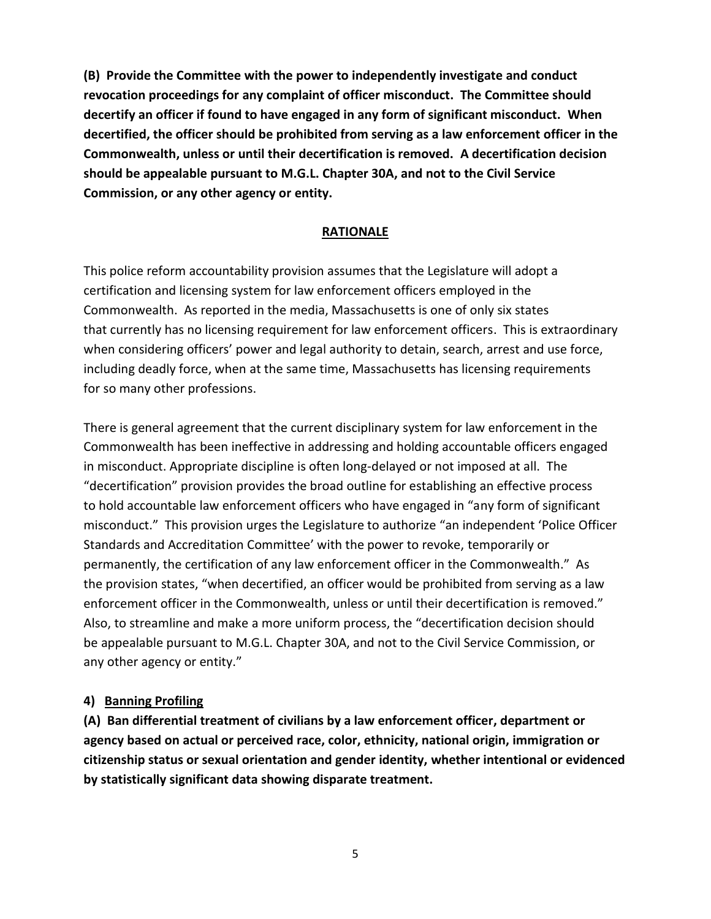**(B) Provide the Committee with the power to independently investigate and conduct revocation proceedings for any complaint of officer misconduct. The Committee should decertify an officer if found to have engaged in any form of significant misconduct. When decertified, the officer should be prohibited from serving as a law enforcement officer in the Commonwealth, unless or until their decertification is removed. A decertification decision should be appealable pursuant to M.G.L. Chapter 30A, and not to the Civil Service Commission, or any other agency or entity.**

#### **RATIONALE**

This police reform accountability provision assumes that the Legislature will adopt a certification and licensing system for law enforcement officers employed in the Commonwealth. As reported in the media, Massachusetts is one of only six states that currently has no licensing requirement for law enforcement officers. This is extraordinary when considering officers' power and legal authority to detain, search, arrest and use force, including deadly force, when at the same time, Massachusetts has licensing requirements for so many other professions.

There is general agreement that the current disciplinary system for law enforcement in the Commonwealth has been ineffective in addressing and holding accountable officers engaged in misconduct. Appropriate discipline is often long-delayed or not imposed at all. The "decertification" provision provides the broad outline for establishing an effective process to hold accountable law enforcement officers who have engaged in "any form of significant misconduct." This provision urges the Legislature to authorize "an independent 'Police Officer Standards and Accreditation Committee' with the power to revoke, temporarily or permanently, the certification of any law enforcement officer in the Commonwealth." As the provision states, "when decertified, an officer would be prohibited from serving as a law enforcement officer in the Commonwealth, unless or until their decertification is removed." Also, to streamline and make a more uniform process, the "decertification decision should be appealable pursuant to M.G.L. Chapter 30A, and not to the Civil Service Commission, or any other agency or entity."

#### **4) Banning Profiling**

**(A) Ban differential treatment of civilians by a law enforcement officer, department or agency based on actual or perceived race, color, ethnicity, national origin, immigration or citizenship status or sexual orientation and gender identity, whether intentional or evidenced by statistically significant data showing disparate treatment.**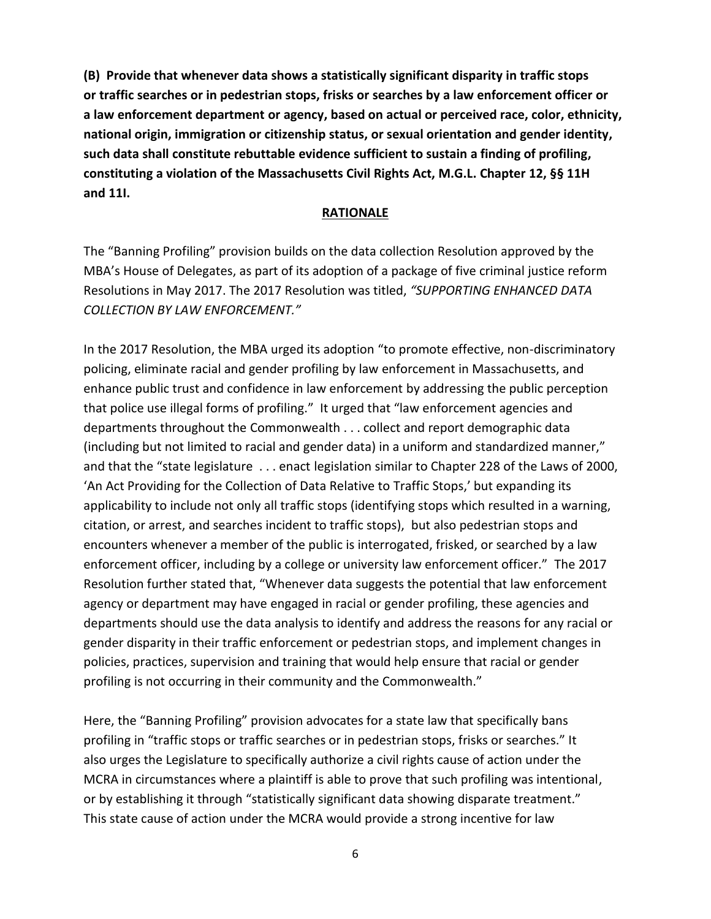**(B) Provide that whenever data shows a statistically significant disparity in traffic stops or traffic searches or in pedestrian stops, frisks or searches by a law enforcement officer or a law enforcement department or agency, based on actual or perceived race, color, ethnicity, national origin, immigration or citizenship status, or sexual orientation and gender identity, such data shall constitute rebuttable evidence sufficient to sustain a finding of profiling, constituting a violation of the Massachusetts Civil Rights Act, M.G.L. Chapter 12, §§ 11H and 11I.**

#### **RATIONALE**

The "Banning Profiling" provision builds on the data collection Resolution approved by the MBA's House of Delegates, as part of its adoption of a package of five criminal justice reform Resolutions in May 2017. The 2017 Resolution was titled, *"SUPPORTING ENHANCED DATA COLLECTION BY LAW ENFORCEMENT."* 

In the 2017 Resolution, the MBA urged its adoption "to promote effective, non-discriminatory policing, eliminate racial and gender profiling by law enforcement in Massachusetts, and enhance public trust and confidence in law enforcement by addressing the public perception that police use illegal forms of profiling." It urged that "law enforcement agencies and departments throughout the Commonwealth . . . collect and report demographic data (including but not limited to racial and gender data) in a uniform and standardized manner," and that the "state legislature . . . enact legislation similar to Chapter 228 of the Laws of 2000, 'An Act Providing for the Collection of Data Relative to Traffic Stops,' but expanding its applicability to include not only all traffic stops (identifying stops which resulted in a warning, citation, or arrest, and searches incident to traffic stops), but also pedestrian stops and encounters whenever a member of the public is interrogated, frisked, or searched by a law enforcement officer, including by a college or university law enforcement officer." The 2017 Resolution further stated that, "Whenever data suggests the potential that law enforcement agency or department may have engaged in racial or gender profiling, these agencies and departments should use the data analysis to identify and address the reasons for any racial or gender disparity in their traffic enforcement or pedestrian stops, and implement changes in policies, practices, supervision and training that would help ensure that racial or gender profiling is not occurring in their community and the Commonwealth."

Here, the "Banning Profiling" provision advocates for a state law that specifically bans profiling in "traffic stops or traffic searches or in pedestrian stops, frisks or searches." It also urges the Legislature to specifically authorize a civil rights cause of action under the MCRA in circumstances where a plaintiff is able to prove that such profiling was intentional, or by establishing it through "statistically significant data showing disparate treatment." This state cause of action under the MCRA would provide a strong incentive for law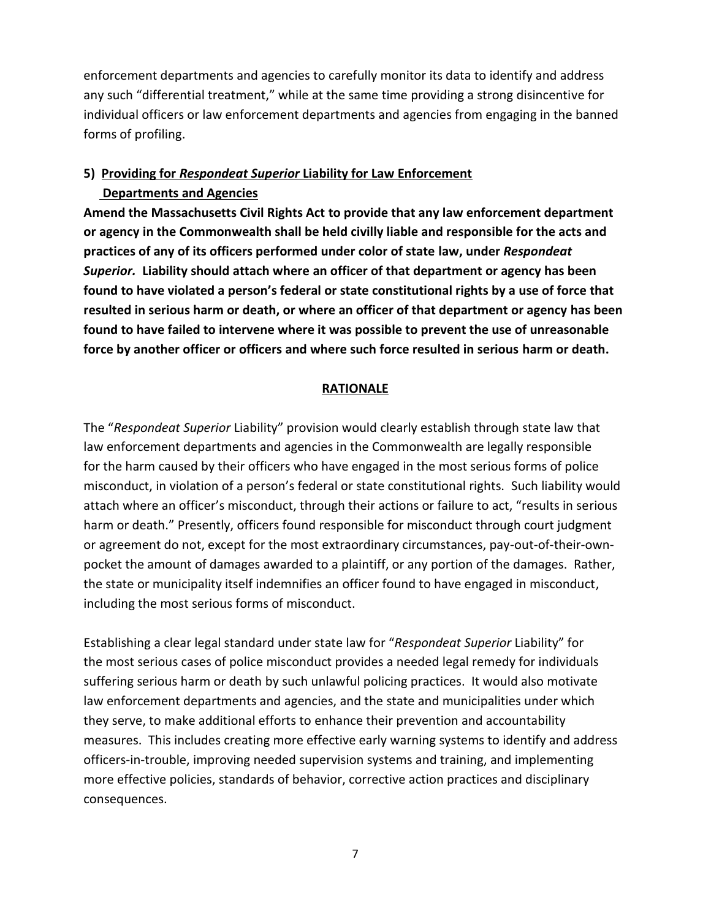enforcement departments and agencies to carefully monitor its data to identify and address any such "differential treatment," while at the same time providing a strong disincentive for individual officers or law enforcement departments and agencies from engaging in the banned forms of profiling.

## **5)****Providing for** *Respondeat Superior* **Liability for Law Enforcement Departments and Agencies**

**Amend the Massachusetts Civil Rights Act to provide that any law enforcement department or agency in the Commonwealth shall be held civilly liable and responsible for the acts and practices of any of its officers performed under color of state law, under** *Respondeat Superior.* **Liability should attach where an officer of that department or agency has been found to have violated a person's federal or state constitutional rights by a use of force that resulted in serious harm or death, or where an officer of that department or agency has been found to have failed to intervene where it was possible to prevent the use of unreasonable force by another officer or officers and where such force resulted in serious harm or death.** 

#### **RATIONALE**

The "*Respondeat Superior* Liability" provision would clearly establish through state law that law enforcement departments and agencies in the Commonwealth are legally responsible for the harm caused by their officers who have engaged in the most serious forms of police misconduct, in violation of a person's federal or state constitutional rights. Such liability would attach where an officer's misconduct, through their actions or failure to act, "results in serious harm or death." Presently, officers found responsible for misconduct through court judgment or agreement do not, except for the most extraordinary circumstances, pay-out-of-their-ownpocket the amount of damages awarded to a plaintiff, or any portion of the damages. Rather, the state or municipality itself indemnifies an officer found to have engaged in misconduct, including the most serious forms of misconduct.

Establishing a clear legal standard under state law for "*Respondeat Superior* Liability" for the most serious cases of police misconduct provides a needed legal remedy for individuals suffering serious harm or death by such unlawful policing practices. It would also motivate law enforcement departments and agencies, and the state and municipalities under which they serve, to make additional efforts to enhance their prevention and accountability measures. This includes creating more effective early warning systems to identify and address officers-in-trouble, improving needed supervision systems and training, and implementing more effective policies, standards of behavior, corrective action practices and disciplinary consequences.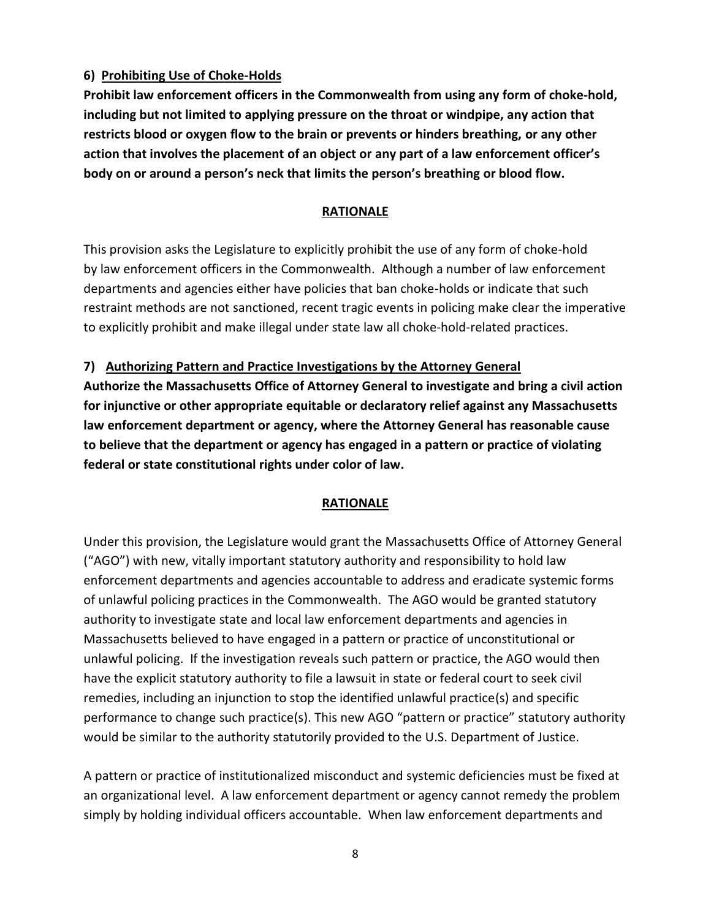## **6) Prohibiting Use of Choke-Holds**

**Prohibit law enforcement officers in the Commonwealth from using any form of choke-hold, including but not limited to applying pressure on the throat or windpipe, any action that restricts blood or oxygen flow to the brain or prevents or hinders breathing, or any other action that involves the placement of an object or any part of a law enforcement officer's body on or around a person's neck that limits the person's breathing or blood flow.**

#### **RATIONALE**

This provision asks the Legislature to explicitly prohibit the use of any form of choke-hold by law enforcement officers in the Commonwealth. Although a number of law enforcement departments and agencies either have policies that ban choke-holds or indicate that such restraint methods are not sanctioned, recent tragic events in policing make clear the imperative to explicitly prohibit and make illegal under state law all choke-hold-related practices.

#### **7) Authorizing Pattern and Practice Investigations by the Attorney General**

**Authorize the Massachusetts Office of Attorney General to investigate and bring a civil action for injunctive or other appropriate equitable or declaratory relief against any Massachusetts law enforcement department or agency, where the Attorney General has reasonable cause to believe that the department or agency has engaged in a pattern or practice of violating federal or state constitutional rights under color of law.**

#### **RATIONALE**

Under this provision, the Legislature would grant the Massachusetts Office of Attorney General ("AGO") with new, vitally important statutory authority and responsibility to hold law enforcement departments and agencies accountable to address and eradicate systemic forms of unlawful policing practices in the Commonwealth. The AGO would be granted statutory authority to investigate state and local law enforcement departments and agencies in Massachusetts believed to have engaged in a pattern or practice of unconstitutional or unlawful policing. If the investigation reveals such pattern or practice, the AGO would then have the explicit statutory authority to file a lawsuit in state or federal court to seek civil remedies, including an injunction to stop the identified unlawful practice(s) and specific performance to change such practice(s). This new AGO "pattern or practice" statutory authority would be similar to the authority statutorily provided to the U.S. Department of Justice.

A pattern or practice of institutionalized misconduct and systemic deficiencies must be fixed at an organizational level. A law enforcement department or agency cannot remedy the problem simply by holding individual officers accountable. When law enforcement departments and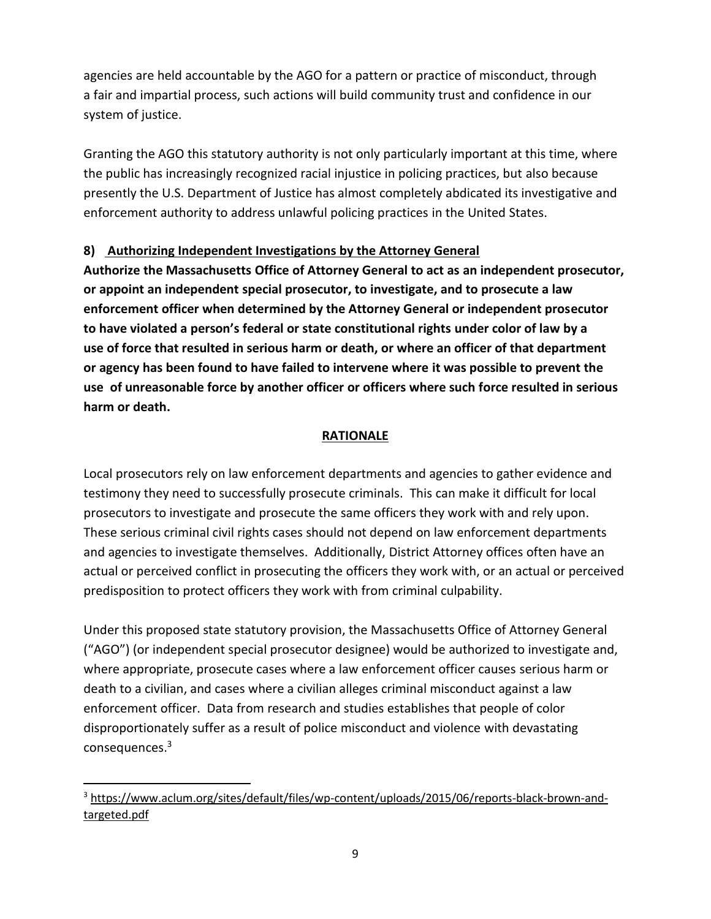agencies are held accountable by the AGO for a pattern or practice of misconduct, through a fair and impartial process, such actions will build community trust and confidence in our system of justice.

Granting the AGO this statutory authority is not only particularly important at this time, where the public has increasingly recognized racial injustice in policing practices, but also because presently the U.S. Department of Justice has almost completely abdicated its investigative and enforcement authority to address unlawful policing practices in the United States.

#### **8) Authorizing Independent Investigations by the Attorney General**

**Authorize the Massachusetts Office of Attorney General to act as an independent prosecutor, or appoint an independent special prosecutor, to investigate, and to prosecute a law enforcement officer when determined by the Attorney General or independent prosecutor to have violated a person's federal or state constitutional rights under color of law by a use of force that resulted in serious harm or death, or where an officer of that department or agency has been found to have failed to intervene where it was possible to prevent the use of unreasonable force by another officer or officers where such force resulted in serious harm or death.**

#### **RATIONALE**

Local prosecutors rely on law enforcement departments and agencies to gather evidence and testimony they need to successfully prosecute criminals. This can make it difficult for local prosecutors to investigate and prosecute the same officers they work with and rely upon. These serious criminal civil rights cases should not depend on law enforcement departments and agencies to investigate themselves. Additionally, District Attorney offices often have an actual or perceived conflict in prosecuting the officers they work with, or an actual or perceived predisposition to protect officers they work with from criminal culpability.

Under this proposed state statutory provision, the Massachusetts Office of Attorney General ("AGO") (or independent special prosecutor designee) would be authorized to investigate and, where appropriate, prosecute cases where a law enforcement officer causes serious harm or death to a civilian, and cases where a civilian alleges criminal misconduct against a law enforcement officer. Data from research and studies establishes that people of color disproportionately suffer as a result of police misconduct and violence with devastating consequences.<sup>3</sup>

<sup>&</sup>lt;sup>3</sup> [https://www.aclum.org/sites/default/files/wp-content/uploads/2015/06/reports-black-brown-and](https://www.aclum.org/sites/default/files/wp-content/uploads/2015/06/reports-black-brown-and-targeted.pdf)[targeted.pdf](https://www.aclum.org/sites/default/files/wp-content/uploads/2015/06/reports-black-brown-and-targeted.pdf)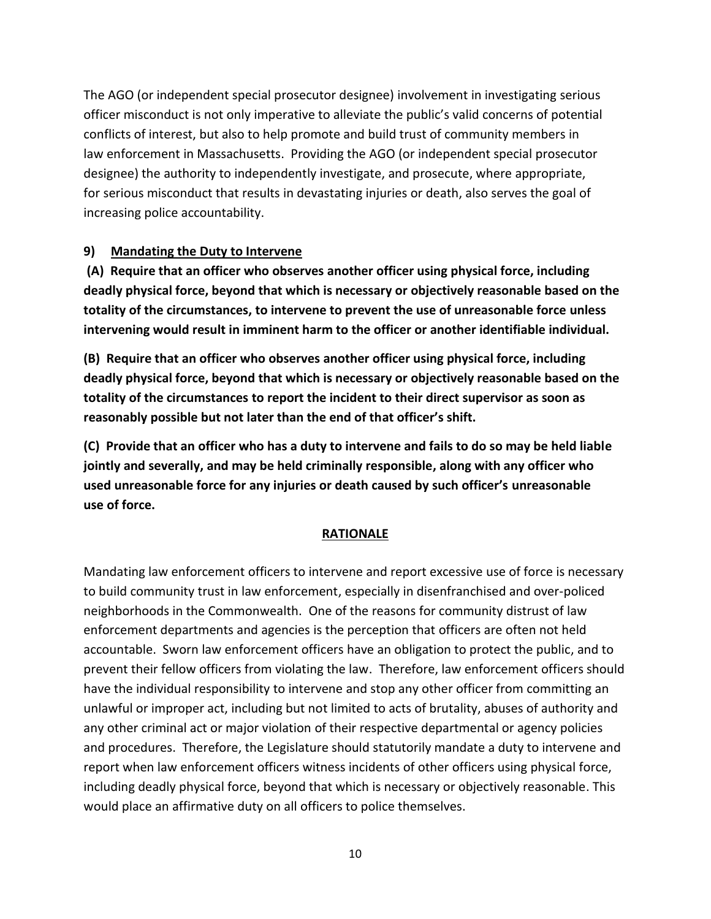The AGO (or independent special prosecutor designee) involvement in investigating serious officer misconduct is not only imperative to alleviate the public's valid concerns of potential conflicts of interest, but also to help promote and build trust of community members in law enforcement in Massachusetts. Providing the AGO (or independent special prosecutor designee) the authority to independently investigate, and prosecute, where appropriate, for serious misconduct that results in devastating injuries or death, also serves the goal of increasing police accountability.

#### **9) Mandating the Duty to Intervene**

**(A) Require that an officer who observes another officer using physical force, including deadly physical force, beyond that which is necessary or objectively reasonable based on the totality of the circumstances, to intervene to prevent the use of unreasonable force unless intervening would result in imminent harm to the officer or another identifiable individual.** 

**(B) Require that an officer who observes another officer using physical force, including deadly physical force, beyond that which is necessary or objectively reasonable based on the totality of the circumstances to report the incident to their direct supervisor as soon as reasonably possible but not later than the end of that officer's shift.** 

**(C) Provide that an officer who has a duty to intervene and fails to do so may be held liable jointly and severally, and may be held criminally responsible, along with any officer who used unreasonable force for any injuries or death caused by such officer's unreasonable use of force.** 

#### **RATIONALE**

Mandating law enforcement officers to intervene and report excessive use of force is necessary to build community trust in law enforcement, especially in disenfranchised and over-policed neighborhoods in the Commonwealth. One of the reasons for community distrust of law enforcement departments and agencies is the perception that officers are often not held accountable. Sworn law enforcement officers have an obligation to protect the public, and to prevent their fellow officers from violating the law. Therefore, law enforcement officers should have the individual responsibility to intervene and stop any other officer from committing an unlawful or improper act, including but not limited to acts of brutality, abuses of authority and any other criminal act or major violation of their respective departmental or agency policies and procedures. Therefore, the Legislature should statutorily mandate a duty to intervene and report when law enforcement officers witness incidents of other officers using physical force, including deadly physical force, beyond that which is necessary or objectively reasonable. This would place an affirmative duty on all officers to police themselves.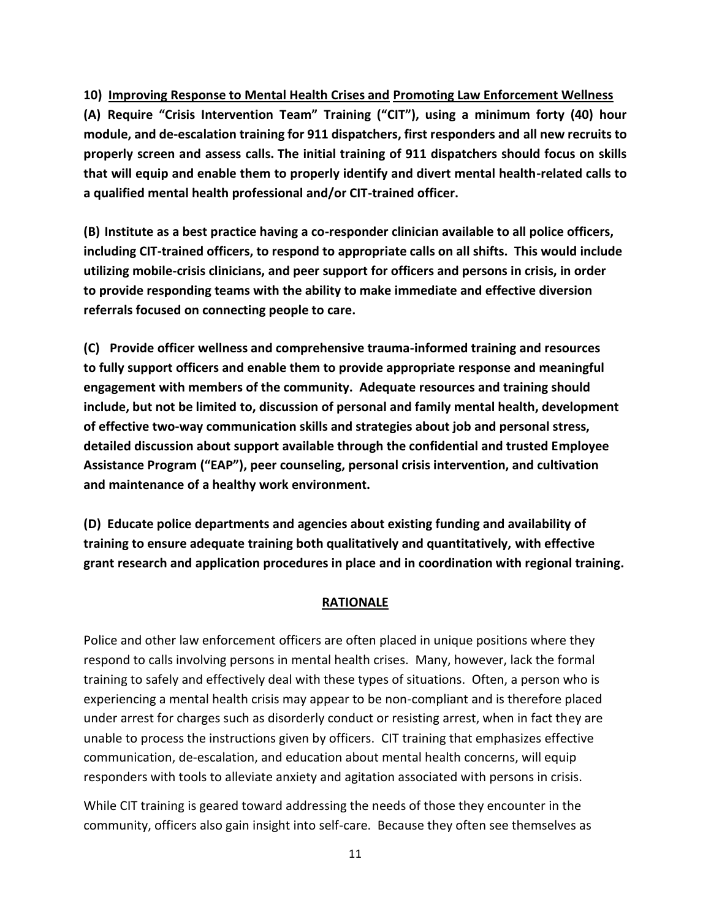**10) Improving Response to Mental Health Crises and Promoting Law Enforcement Wellness (A) Require "Crisis Intervention Team" Training ("CIT"), using a minimum forty (40) hour module, and de-escalation training for 911 dispatchers, first responders and all new recruits to properly screen and assess calls. The initial training of 911 dispatchers should focus on skills that will equip and enable them to properly identify and divert mental health-related calls to a qualified mental health professional and/or CIT-trained officer.**

**(B) Institute as a best practice having a co-responder clinician available to all police officers, including CIT-trained officers, to respond to appropriate calls on all shifts. This would include utilizing mobile-crisis clinicians, and peer support for officers and persons in crisis, in order to provide responding teams with the ability to make immediate and effective diversion referrals focused on connecting people to care.**

**(C) Provide officer wellness and comprehensive trauma-informed training and resources to fully support officers and enable them to provide appropriate response and meaningful engagement with members of the community. Adequate resources and training should include, but not be limited to, discussion of personal and family mental health, development of effective two-way communication skills and strategies about job and personal stress, detailed discussion about support available through the confidential and trusted Employee Assistance Program ("EAP"), peer counseling, personal crisis intervention, and cultivation and maintenance of a healthy work environment.**

**(D) Educate police departments and agencies about existing funding and availability of training to ensure adequate training both qualitatively and quantitatively, with effective grant research and application procedures in place and in coordination with regional training.**

#### **RATIONALE**

Police and other law enforcement officers are often placed in unique positions where they respond to calls involving persons in mental health crises. Many, however, lack the formal training to safely and effectively deal with these types of situations. Often, a person who is experiencing a mental health crisis may appear to be non-compliant and is therefore placed under arrest for charges such as disorderly conduct or resisting arrest, when in fact they are unable to process the instructions given by officers. CIT training that emphasizes effective communication, de-escalation, and education about mental health concerns, will equip responders with tools to alleviate anxiety and agitation associated with persons in crisis.

While CIT training is geared toward addressing the needs of those they encounter in the community, officers also gain insight into self-care. Because they often see themselves as

11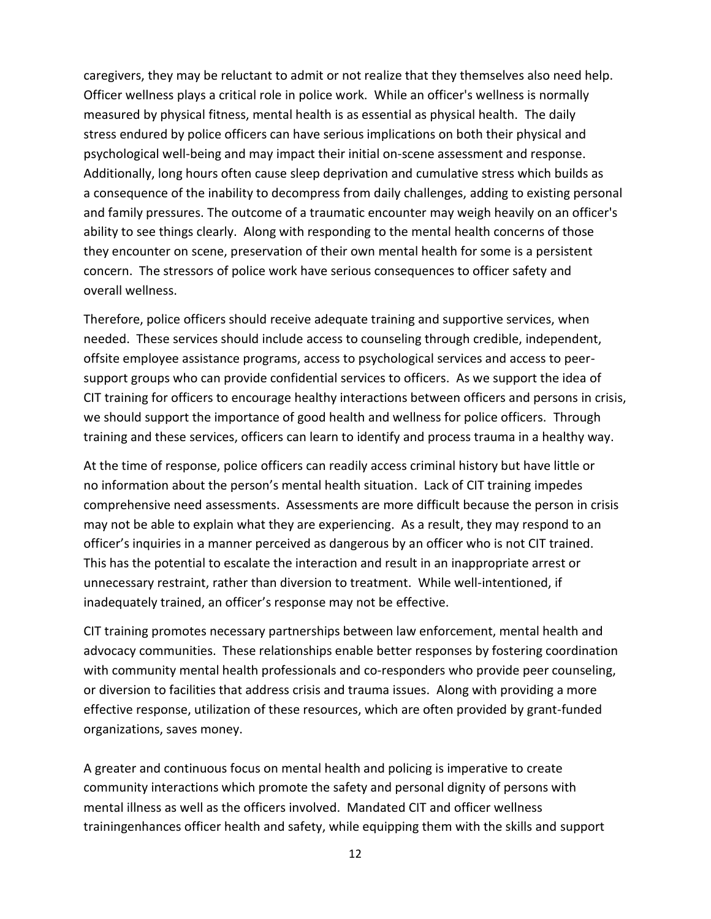caregivers, they may be reluctant to admit or not realize that they themselves also need help. Officer wellness plays a critical role in police work. While an officer's wellness is normally measured by physical fitness, mental health is as essential as physical health. The daily stress endured by police officers can have serious implications on both their physical and psychological well-being and may impact their initial on-scene assessment and response. Additionally, long hours often cause sleep deprivation and cumulative stress which builds as a consequence of the inability to decompress from daily challenges, adding to existing personal and family pressures. The outcome of a traumatic encounter may weigh heavily on an officer's ability to see things clearly. Along with responding to the mental health concerns of those they encounter on scene, preservation of their own mental health for some is a persistent concern. The stressors of police work have serious consequences to officer safety and overall wellness.

Therefore, police officers should receive adequate training and supportive services, when needed. These services should include access to counseling through credible, independent, offsite employee assistance programs, access to psychological services and access to peersupport groups who can provide confidential services to officers. As we support the idea of CIT training for officers to encourage healthy interactions between officers and persons in crisis, we should support the importance of good health and wellness for police officers. Through training and these services, officers can learn to identify and process trauma in a healthy way.

At the time of response, police officers can readily access criminal history but have little or no information about the person's mental health situation. Lack of CIT training impedes comprehensive need assessments. Assessments are more difficult because the person in crisis may not be able to explain what they are experiencing. As a result, they may respond to an officer's inquiries in a manner perceived as dangerous by an officer who is not CIT trained. This has the potential to escalate the interaction and result in an inappropriate arrest or unnecessary restraint, rather than diversion to treatment. While well-intentioned, if inadequately trained, an officer's response may not be effective.

CIT training promotes necessary partnerships between law enforcement, mental health and advocacy communities. These relationships enable better responses by fostering coordination with community mental health professionals and co-responders who provide peer counseling, or diversion to facilities that address crisis and trauma issues. Along with providing a more effective response, utilization of these resources, which are often provided by grant-funded organizations, saves money.

A greater and continuous focus on mental health and policing is imperative to create community interactions which promote the safety and personal dignity of persons with mental illness as well as the officers involved. Mandated CIT and officer wellness trainingenhances officer health and safety, while equipping them with the skills and support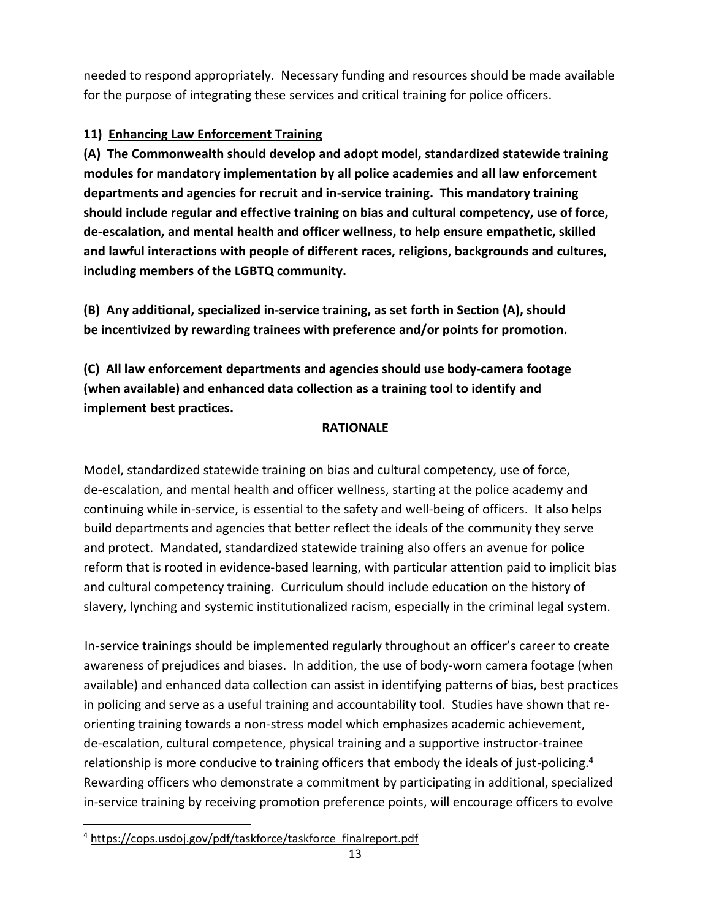needed to respond appropriately. Necessary funding and resources should be made available for the purpose of integrating these services and critical training for police officers.

# **11) Enhancing Law Enforcement Training**

**(A) The Commonwealth should develop and adopt model, standardized statewide training modules for mandatory implementation by all police academies and all law enforcement departments and agencies for recruit and in-service training. This mandatory training should include regular and effective training on bias and cultural competency, use of force, de-escalation, and mental health and officer wellness, to help ensure empathetic, skilled and lawful interactions with people of different races, religions, backgrounds and cultures, including members of the LGBTQ community.** 

**(B) Any additional, specialized in-service training, as set forth in Section (A), should be incentivized by rewarding trainees with preference and/or points for promotion.** 

**(C) All law enforcement departments and agencies should use body-camera footage (when available) and enhanced data collection as a training tool to identify and implement best practices.** 

# **RATIONALE**

Model, standardized statewide training on bias and cultural competency, use of force, de-escalation, and mental health and officer wellness, starting at the police academy and continuing while in-service, is essential to the safety and well-being of officers. It also helps build departments and agencies that better reflect the ideals of the community they serve and protect. Mandated, standardized statewide training also offers an avenue for police reform that is rooted in evidence-based learning, with particular attention paid to implicit bias and cultural competency training. Curriculum should include education on the history of slavery, lynching and systemic institutionalized racism, especially in the criminal legal system.

In-service trainings should be implemented regularly throughout an officer's career to create awareness of prejudices and biases. In addition, the use of body-worn camera footage (when available) and enhanced data collection can assist in identifying patterns of bias, best practices in policing and serve as a useful training and accountability tool. Studies have shown that reorienting training towards a non-stress model which emphasizes academic achievement, de-escalation, cultural competence, physical training and a supportive instructor-trainee relationship is more conducive to training officers that embody the ideals of just-policing.<sup>4</sup> Rewarding officers who demonstrate a commitment by participating in additional, specialized in-service training by receiving promotion preference points, will encourage officers to evolve

<sup>4</sup> [https://cops.usdoj.gov/pdf/taskforce/taskforce\\_finalreport.pdf](https://cops.usdoj.gov/pdf/taskforce/taskforce_finalreport.pdf)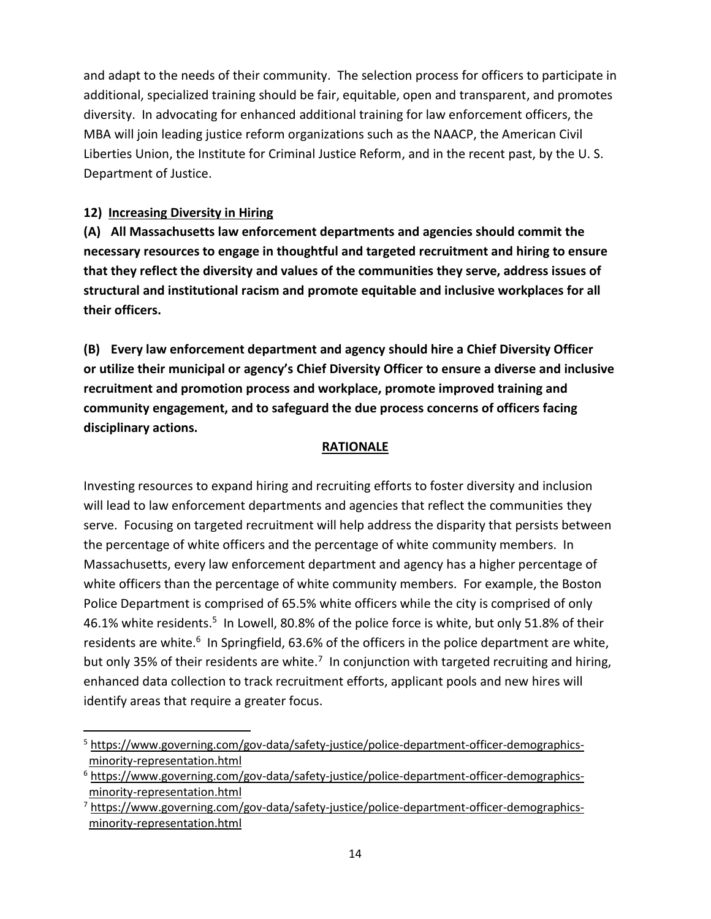and adapt to the needs of their community. The selection process for officers to participate in additional, specialized training should be fair, equitable, open and transparent, and promotes diversity. In advocating for enhanced additional training for law enforcement officers, the MBA will join leading justice reform organizations such as the NAACP, the American Civil Liberties Union, the Institute for Criminal Justice Reform, and in the recent past, by the U. S. Department of Justice.

## **12) Increasing Diversity in Hiring**

**(A) All Massachusetts law enforcement departments and agencies should commit the necessary resources to engage in thoughtful and targeted recruitment and hiring to ensure that they reflect the diversity and values of the communities they serve, address issues of structural and institutional racism and promote equitable and inclusive workplaces for all their officers.**

**(B) Every law enforcement department and agency should hire a Chief Diversity Officer or utilize their municipal or agency's Chief Diversity Officer to ensure a diverse and inclusive recruitment and promotion process and workplace, promote improved training and community engagement, and to safeguard the due process concerns of officers facing disciplinary actions.** 

## **RATIONALE**

Investing resources to expand hiring and recruiting efforts to foster diversity and inclusion will lead to law enforcement departments and agencies that reflect the communities they serve. Focusing on targeted recruitment will help address the disparity that persists between the percentage of white officers and the percentage of white community members. In Massachusetts, every law enforcement department and agency has a higher percentage of white officers than the percentage of white community members. For example, the Boston Police Department is comprised of 65.5% white officers while the city is comprised of only 46.1% white residents.<sup>5</sup> In Lowell, 80.8% of the police force is white, but only 51.8% of their residents are white.<sup>6</sup> In Springfield, 63.6% of the officers in the police department are white, but only 35% of their residents are white.<sup>7</sup> In conjunction with targeted recruiting and hiring, enhanced data collection to track recruitment efforts, applicant pools and new hires will identify areas that require a greater focus.

<sup>&</sup>lt;sup>5</sup> [https://www.governing.com/gov-data/safety-justice/police-department-officer-demographics](https://www.governing.com/gov-data/safety-justice/police-department-officer-demographics-minority-representation.html)[minority-representation.html](https://www.governing.com/gov-data/safety-justice/police-department-officer-demographics-minority-representation.html)

<sup>6</sup> [https://www.governing.com/gov-data/safety-justice/police-department-officer-demographics](https://www.governing.com/gov-data/safety-justice/police-department-officer-demographics-minority-representation.html)[minority-representation.html](https://www.governing.com/gov-data/safety-justice/police-department-officer-demographics-minority-representation.html)

 $^7$  [https://www.governing.com/gov-data/safety-justice/police-department-officer-demographics](https://www.governing.com/gov-data/safety-justice/police-department-officer-demographics-minority-representation.html)[minority-representation.html](https://www.governing.com/gov-data/safety-justice/police-department-officer-demographics-minority-representation.html)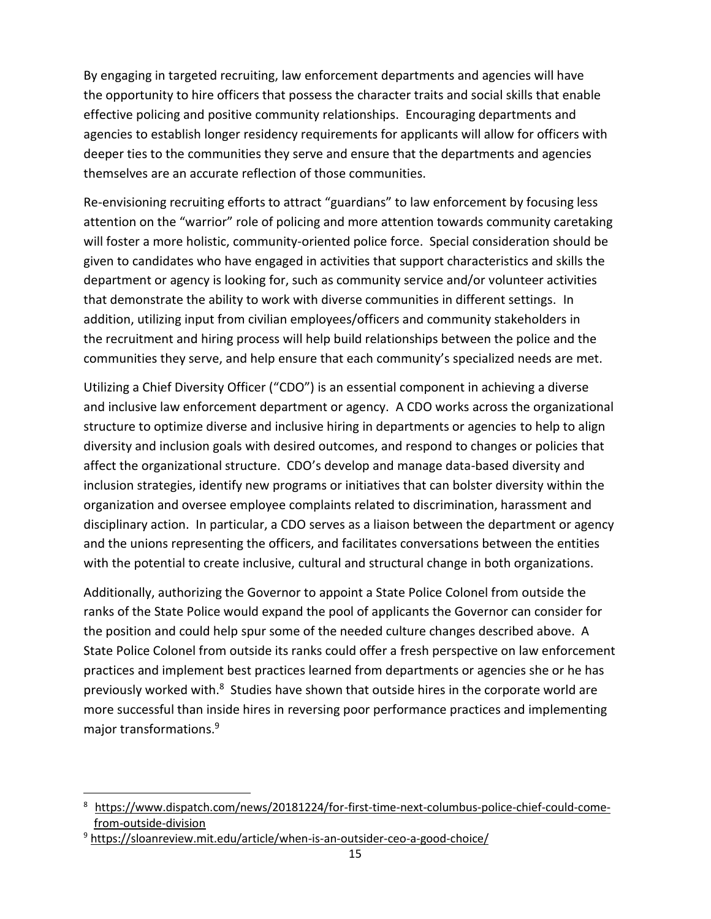By engaging in targeted recruiting, law enforcement departments and agencies will have the opportunity to hire officers that possess the character traits and social skills that enable effective policing and positive community relationships. Encouraging departments and agencies to establish longer residency requirements for applicants will allow for officers with deeper ties to the communities they serve and ensure that the departments and agencies themselves are an accurate reflection of those communities.

Re-envisioning recruiting efforts to attract "guardians" to law enforcement by focusing less attention on the "warrior" role of policing and more attention towards community caretaking will foster a more holistic, community-oriented police force. Special consideration should be given to candidates who have engaged in activities that support characteristics and skills the department or agency is looking for, such as community service and/or volunteer activities that demonstrate the ability to work with diverse communities in different settings. In addition, utilizing input from civilian employees/officers and community stakeholders in the recruitment and hiring process will help build relationships between the police and the communities they serve, and help ensure that each community's specialized needs are met.

Utilizing a Chief Diversity Officer ("CDO") is an essential component in achieving a diverse and inclusive law enforcement department or agency. A CDO works across the organizational structure to optimize diverse and inclusive hiring in departments or agencies to help to align diversity and inclusion goals with desired outcomes, and respond to changes or policies that affect the organizational structure. CDO's develop and manage data-based diversity and inclusion strategies, identify new programs or initiatives that can bolster diversity within the organization and oversee employee complaints related to discrimination, harassment and disciplinary action. In particular, a CDO serves as a liaison between the department or agency and the unions representing the officers, and facilitates conversations between the entities with the potential to create inclusive, cultural and structural change in both organizations.

Additionally, authorizing the Governor to appoint a State Police Colonel from outside the ranks of the State Police would expand the pool of applicants the Governor can consider for the position and could help spur some of the needed culture changes described above. A State Police Colonel from outside its ranks could offer a fresh perspective on law enforcement practices and implement best practices learned from departments or agencies she or he has previously worked with. $8$  Studies have shown that outside hires in the corporate world are more successful than inside hires in reversing poor performance practices and implementing major transformations.<sup>9</sup>

[https://www.dispatch.com/news/20181224/for-first-time-next-columbus-police-chief-could-come](https://www.dispatch.com/news/20181224/for-first-time-next-columbus-police-chief-could-come-%20from-outside-division)[from-outside-division](https://www.dispatch.com/news/20181224/for-first-time-next-columbus-police-chief-could-come-%20from-outside-division)

<sup>9</sup> <https://sloanreview.mit.edu/article/when-is-an-outsider-ceo-a-good-choice/>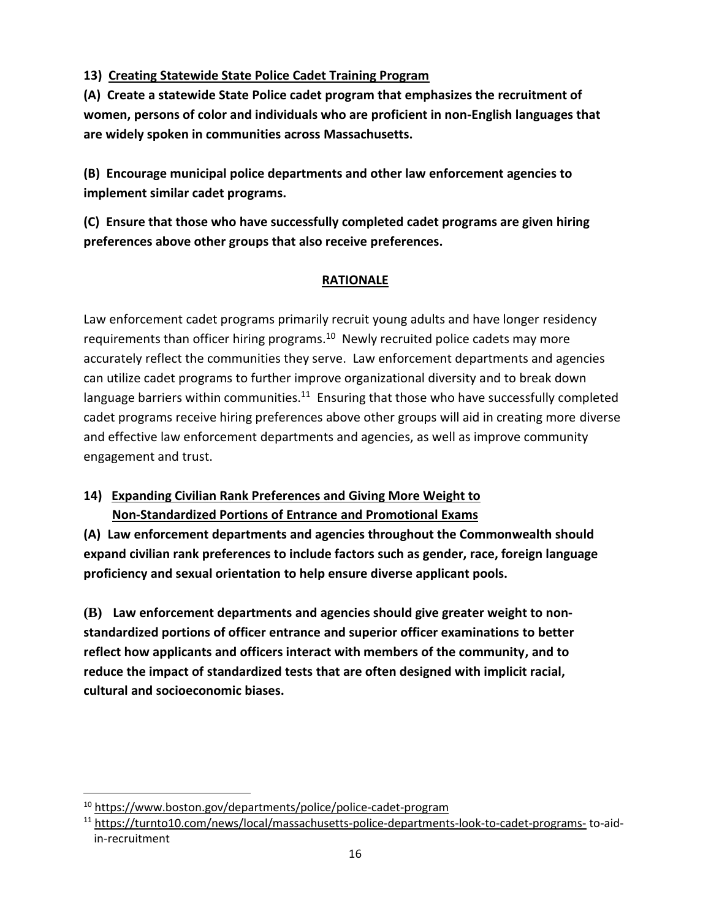## **13) Creating Statewide State Police Cadet Training Program**

**(A) Create a statewide State Police cadet program that emphasizes the recruitment of women, persons of color and individuals who are proficient in non-English languages that are widely spoken in communities across Massachusetts.** 

**(B) Encourage municipal police departments and other law enforcement agencies to implement similar cadet programs.** 

**(C) Ensure that those who have successfully completed cadet programs are given hiring preferences above other groups that also receive preferences.**

# **RATIONALE**

Law enforcement cadet programs primarily recruit young adults and have longer residency requirements than officer hiring programs.<sup>10</sup> Newly recruited police cadets may more accurately reflect the communities they serve. Law enforcement departments and agencies can utilize cadet programs to further improve organizational diversity and to break down language barriers within communities. $11$  Ensuring that those who have successfully completed cadet programs receive hiring preferences above other groups will aid in creating more diverse and effective law enforcement departments and agencies, as well as improve community engagement and trust.

# **14) Expanding Civilian Rank Preferences and Giving More Weight to Non-Standardized Portions of Entrance and Promotional Exams**

**(A) Law enforcement departments and agencies throughout the Commonwealth should expand civilian rank preferences to include factors such as gender, race, foreign language proficiency and sexual orientation to help ensure diverse applicant pools.** 

**(B) Law enforcement departments and agencies should give greater weight to nonstandardized portions of officer entrance and superior officer examinations to better reflect how applicants and officers interact with members of the community, and to reduce the impact of standardized tests that are often designed with implicit racial, cultural and socioeconomic biases.**

<sup>10</sup> <https://www.boston.gov/departments/police/police-cadet-program>

<sup>11</sup> <https://turnto10.com/news/local/massachusetts-police-departments-look-to-cadet-programs-> to-aidin-recruitment